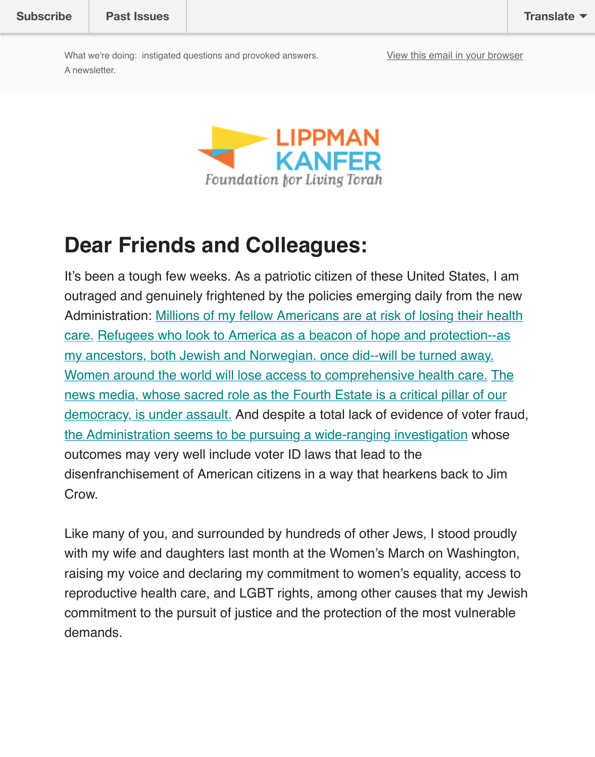

### **Dear Friends and Colleagues:**

It's been a tough few weeks. As a patriotic citizen of these United States, I am outraged and genuinely frightened by the policies emerging daily from the new Administration: Millions of my fellow Americans are at risk of losing their health care. Refugees who look to America as a beacon of hope and protection--as my ancestors, both Jewish and Norwegian, once did--will be turned away. Women around the world will lose access to comprehensive health care. The news media, whose sacred role as the Fourth Estate is a critical pillar of our democracy, is under assault. And despite a total lack of evidence of voter fraud, [the Administration seems to be pursuing a wide-ranging investigation whose](http://www.nytimes.com/reuters/2017/01/21/us/politics/21reuters-usa-healthcare-trump.html) [outcomes may very well include voter ID laws that lead to the](https://www.nytimes.com/2017/01/28/us/refugees-detained-at-us-airports-prompting-legal-challenges-to-trumps-immigration-order.html?hp&action=click&pgtype=Homepage&clickSource=story-heading&module=span-ab-top-region®ion=top-news&WT.nav=top-news&_r=0) [disenfranchisement of American citizens in a way that hearkens back to](https://www.nytimes.com/2017/01/26/opinion/mr-trumps-gag-rule-will-harm-global-health.html?action=click&pgtype=Homepage&clickSource=story-heading&module=opinion-c-col-left-region®ion=opinion-c-col-left-region&WT.nav=opinion-c-col-left-region) [Jim](https://www.nytimes.com/2017/01/26/business/media/stephen-bannon-trump-news-media.html?hp&action=click&pgtype=Homepage&clickSource=story-heading&module=b-lede-package-region®ion=top-news&WT.nav=top-news) Crow.

[Like many of you, and surrounded by hundreds of other Jews, I stood](https://www.washingtonpost.com/powerpost/in-private-meeting-pence-vows-full-evaluation-of-voting-rolls-over-claims-of-voting-fraud/2017/01/27/1c1fa1de-e49a-11e6-a547-5fb9411d332c_story.html) proud with my wife and daughters last month at the Women's March on Washington, raising my voice and declaring my commitment to women's equality, access reproductive health care, and LGBT rights, among other causes that my Jev commitment to the pursuit of justice and the protection of the most vulnerab demands.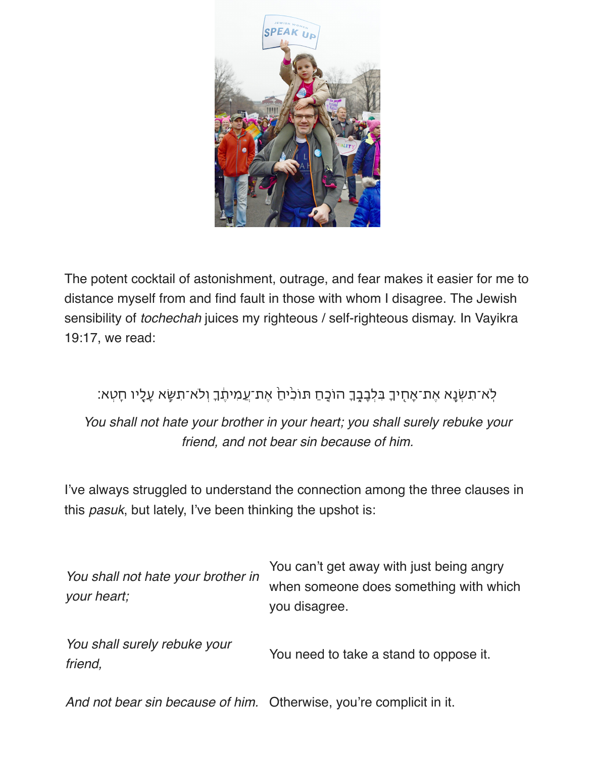

The potent cocktail of astonishment, outrage, and fear makes it easier for me to distance myself from and find fault in those with whom I disagree. The Jewish sensibility of *tochechah* juices my righteous / self-righteous dismay. In Vayikra 19:17, we read:

#### ַלְא־תִשְׂנֶא אֶת־אָחָיךָ בִּלְבָבֶֽךָ הוֹכָחַ תּוֹכִיּחַ אֶת־עֲמִיתֶֽׂךָ וְלֹא־תִשָּׂא עָלָיו חָטְא:

*You shall not hate your brother in your heart; you shall surely rebuke your friend, and not bear sin because of him.*

I've always struggled to understand the connection among the three clauses in this *pasuk*, but lately, I've been thinking the upshot is:

| You shall not hate your brother in<br>your heart; | You can't get away with just being angry<br>when someone does something with which<br>you disagree. |
|---------------------------------------------------|-----------------------------------------------------------------------------------------------------|
| You shall surely rebuke your<br>friend,           | You need to take a stand to oppose it.                                                              |

*And not bear sin because of him.* Otherwise, you're complicit in it.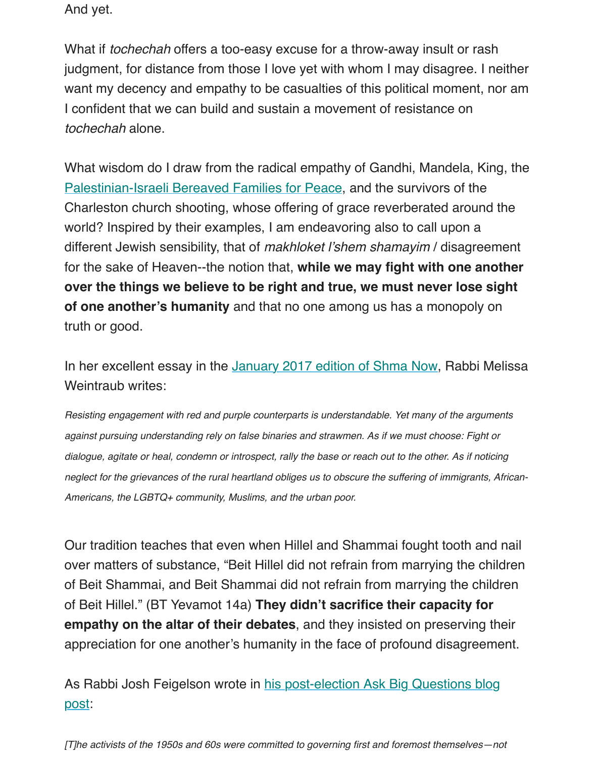I confident that we can build and sustain a movement of resistance on *tochechah* alone.

What wisdom do I draw from the radical empathy of Gandhi, Mandela, King, Palestinian-Israeli Bereaved Families for Peace, and the survivors of the Charleston church shooting, whose offering of grace reverberated around the world? Inspired by their examples, I am endeavoring also to call upon a different Jewish sensibility, that of *makhloket l'shem shamayim / disagreeme* for the sake of Heaven--the notion that, while we may fight with one another **[over the things we believe to be right and tru](http://www.theparentscircle.org/)e, we must never lose sight of one another's humanity** and that no one among us has a monopoly on truth or good.

In her excellent essay in the January 2017 edition of Shma Now, Rabbi Mel Weintraub writes:

*Resisting engagement with red and purple counterparts is understandable. Yet many of the argumen against pursuing understanding rely on false binaries and strawmen. As if we must choose: Fight or dialogue, agitate or heal, condemn or introspect, rally the base or reach out to the other. As if noticing neglect for the grievances of the rural [heartland obliges us to obscure the suffering of](https://s3.amazonaws.com/assets.forward.com/downloads/jan2017argumentationmachlochetdigital-1485367569.pdf) immigrants, African-Americans, the LGBTQ+ community, Muslims, and the urban poor.*

Our tradition teaches that even when Hillel and Shammai fought tooth and no over matters of substance, "Beit Hillel did not refrain from marrying the child of Beit Shammai, and Beit Shammai did not refrain from marrying the children of Beit Hillel." (BT Yevamot 14a) **They didn't sacrifice their capacity for empathy on the altar of their debates**, and they insisted on preserving the appreciation for one another's humanity in the face of profound disagreeme

As Rabbi Josh Feigelson wrote in his post-election Ask Big Questions blog post:

*[T]he activists of the 1950s and 60s were committed to governing first and foremost themselves—not*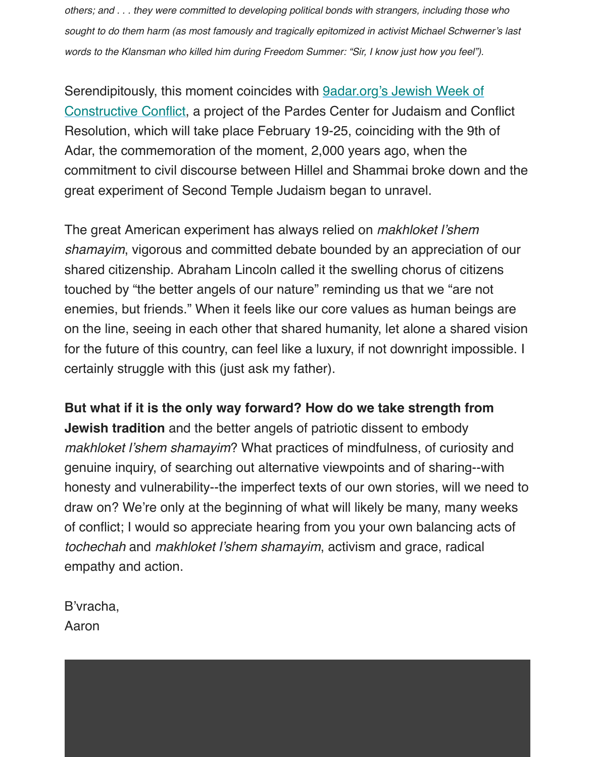Constructive Conflict, a project of the Pardes Center for Judaism and Conflict Resolution, which will take place February 19-25, coinciding with the 9th of Adar, the commemoration of the moment, 2,000 years ago, when the commitment to civil discourse between Hillel and Shammai broke down and [great experiment of Second Temple Judaism began to unravel.](http://www.9adar.org/)

The great American experiment has always relied on *makhloket l'shem shamayim*, vigorous and committed debate bounded by an appreciation of our shared citizenship. Abraham Lincoln called it the swelling chorus of citizens touched by "the better angels of our nature" reminding us that we "are not enemies, but friends." When it feels like our core values as human beings a on the line, seeing in each other that shared humanity, let alone a shared vist for the future of this country, can feel like a luxury, if not downright impossible. certainly struggle with this (just ask my father).

**But what if it is the only way forward? How do we take strength from Jewish tradition** and the better angels of patriotic dissent to embody *makhloket l'shem shamayim*? What practices of mindfulness, of curiosity an genuine inquiry, of searching out alternative viewpoints and of sharing--with honesty and vulnerability--the imperfect texts of our own stories, will we nee draw on? We're only at the beginning of what will likely be many, many wee of conflict; I would so appreciate hearing from you your own balancing acts *tochechah* and *makhloket l'shem shamayim*, activism and grace, radical empathy and action.

B'vracha, Aaron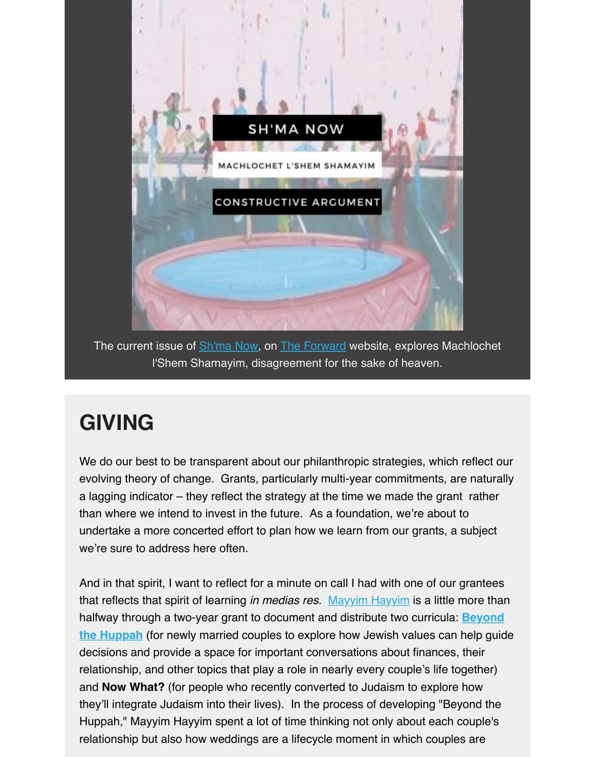

The current issue of Sh'ma Now, on The Forward website, explores Machlochet l'Shem Shamayim, disagreement for the sake of heaven.

## **GIVING**

We do our best to be transparent about our philanthropic strategies, which reflect our evolving theory of change. Grants, particularly multi-year commitments, are natural a lagging indicator – they reflect the strategy at the time we made the grant rather than where we intend to invest in the future. As a foundation, we're about to undertake a more concerted effort to plan how we learn from our grants, a subject we're sure to address here often.

And in that spirit, I want to reflect for a minute on call I had with one of our grantees that reflects that spirit of learning *in medias res*. Mayyim Hayyim is a little more than halfway through a two-year grant to document and distribute two curricula: **Beyond the Huppah** (for newly married couples to explore how Jewish values can help guided decisions and provide a space for important conversations about finances, their relationship, and other topics that play a role in nearly every couple's life together) and **Now What?** (for people who recently converted to Judaism to explore how they'll integrate Judaism into their lives). In the [process of develo](http://www.mayyimhayyim.org/)ping "Beyond the [Huppah," Mayyim Hayyim spent a lot of time thinking not only about each couple's](http://www.mayyimhayyim.org/Store/Beyond-the-Huppah-Curriculum) relationship but also how weddings are a lifecycle moment in which couples are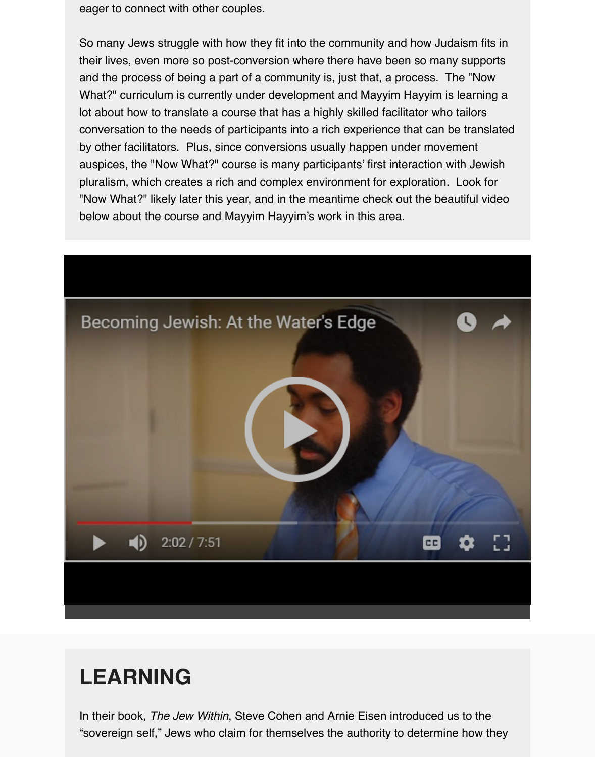lot about how to translate a course that has a highly skilled facilitator who tailors conversation to the needs of participants into a rich experience that can be translate by other facilitators. Plus, since conversions usually happen under movement auspices, the "Now What?" course is many participants' first interaction with Jewish pluralism, which creates a rich and complex environment for exploration. Look for "Now What?" likely later this year, and in the meantime check out the beautiful video below about the course and Mayyim Hayyim's work in this area.



#### **[LEARNING](https://www.youtube.com/watch?v=shA70i74Yvo&feature=youtu.be)**

In their book, *The Jew Within*, Steve Cohen and Arnie Eisen introduced us to the "sovereign self," Jews who claim for themselves the authority to determine how they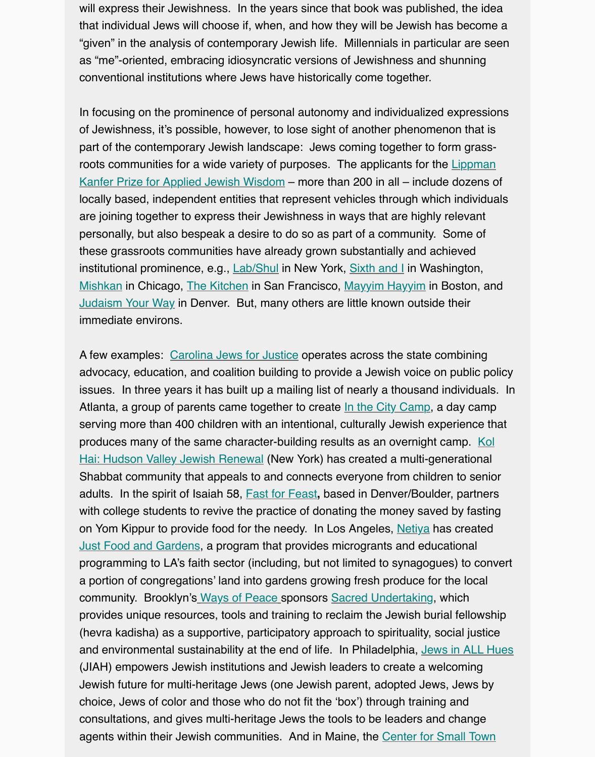In focusing on the prominence of personal autonomy and individualized expressions of Jewishness, it's possible, however, to lose sight of another phenomenon that is part of the contemporary Jewish landscape: Jews coming together to form grassroots communities for a wide variety of purposes. The applicants for the Lippman Kanfer Prize for Applied Jewish Wisdom – more than 200 in all – include dozens of locally based, independent entities that represent vehicles through which individuals are joining together to express their Jewishness in ways that are highly relevant personally, but also bespeak a desire to do so as part of a community. Some of these grassroots communities have already grown substantially and achieved institutional prominence, e.g., Lab/Shul in New York, Sixth and I in Washington, [Mishkan in Chicago, The Kitchen in San Francisco, Mayyim Hayyim in Boston, an](http://www.lippmankanferprize.org/)d Judaism Your Way in Denver. But, many others are little known outside their immediate environs.

A few examples: Carolina Jews for Justice operates across the state combining advocacy, education, and coa[lition build](http://labshul.org/)ing to provid[e a Jewish v](https://www.sixthandi.org/)oice on public policy [issues. I](http://www.mishkanchicago.org/)n three year[s it has built](http://www.thekitchensf.org/) up a mailing list of [nearly a thousa](http://www.mayyimhayyim.org/)nd individuals. [Atlanta, a group of](http://www.judaismyourway.org/) parents came together to create In the City Camp, a day camp serving more than 400 children with an intentional, culturally Jewish experience that produces many of the same character-building results as an overnight camp. Kol Hai: Hudson Vall[ey Jewish Renewal](http://carolinajews.wpengine.com/) (New York) has created a multi-generational Shabbat community that appeals to and connects everyone from children to senior adults. In the spirit of Isaiah 58, Fast for Feast**,** based in Denver/Boulder, partners with college students to revive the practice of donati[ng the money sav](https://www.inthecitycamp.com/)ed by fasting on Yom Kippur to provide food for the needy. In Los Angeles, Netiya has created [Just Food and Gardens, a program that provides microgrants and educational](http://www.kolhai.org/) programming to LA's faith sector (including, but not limited to synagogues) to convert a portion of congregations' land into gardens growing fresh produce for the local community. Brooklyn's Ways of Peace [sponso](http://www.fastforfeast.org/)rs Sacred Undertaking, which provides unique resources, tools and training to reclaim the Jewish burial fellowship (hevra kadisha) as a supportive, participatory approach to spir[ituality,](http://netiya.org/) social justice [and environmental susta](https://www.seedmoney.org/campaign/847/netiya-just-food-gardens)inability at the end of life. In Philadelphia, Jews in ALL Hue (JIAH) empowers Jewish institutions and Jewish leaders to create a welcoming Jewish future for multi-heritage Jews (one Jewish parent, adopted Jews, Jews by choice, Jews of color a[nd those who do](http://waysofpeace.org/) not fit th[e 'box'\) through traini](http://waysofpeace.org/in-the-media)ng and consultations, and gives multi-heritage Jews the tools to be leaders and change agents within their Jewish communities. And in Maine, the Center for Small Town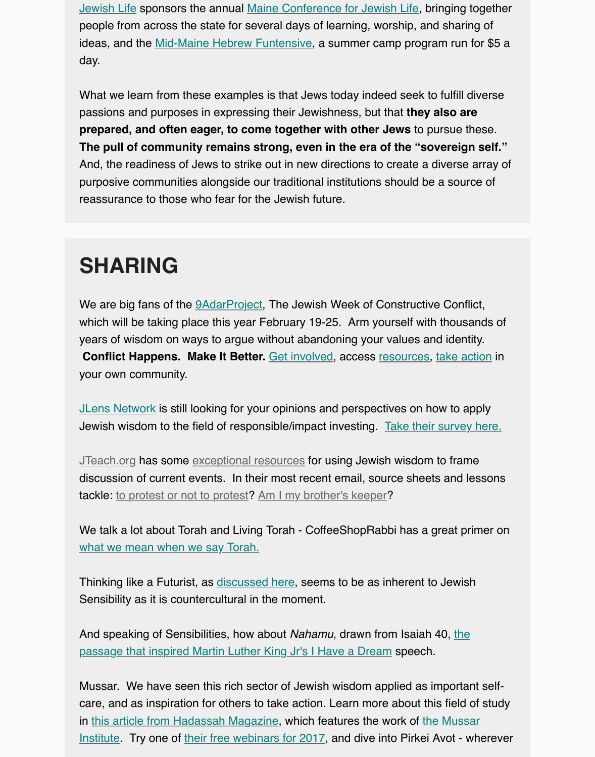[passions and purposes in expressing their Jewishness, but that](http://www.colby.edu/jewishlife/) **they also are prepared, and often eager, to come together with other Jews** to pursue these. **The pull of co[mmunity remains strong, eve](http://www.colby.edu/jewishlife/funtensive/)n in the era of the "sovereign self."** And, the readiness of Jews to strike out in new directions to create a diverse array of purposive communities alongside our traditional institutions should be a source of reassurance to those who fear for the Jewish future.

# **SHARING**

We are big fans of the *9AdarProject*, The Jewish Week of Constructive Conflict, which will be taking place this year February 19-25. Arm yourself with thousands of years of wisdom on ways to argue without abandoning your values and identity. **Conflict Happens. Make It Better.** Get involved, access resources, take action in your own community.

**JLens Network is still l[ooking for you](http://www.9adar.org/)r opinions and perspectives on how to apply** Jewish wisdom to the field of responsible/impact investing. Take their survey here.

JTeach.org has some exceptional re[sources for us](http://www.9adar.org/get-involved/sign-up/)ing Jewi[sh wisdom](http://www.9adar.org/resources/) [to frame](http://www.9adar.org/get-involved/18-actions/) discussion of current events. In their most recent email, source sheets and lessons tackle: to protest or not to protest? Am I my brother's keeper?

We talk a lot about Torah and Living Torah - CoffeeShopRa[bbi has a great primer o](https://www.surveymonkey.com/r/jlens2017?platform=hootsuite)r what we mean when we say Torah.

Thinking like a Futurist, as discussed here, seems to be as inherent to Jewish Sensib[ility as it is countercultural](http://jteach.org/project/challenge-and-response-protests/) i[n the moment.](http://jteach.org/project/am-i-my-brothers-keeper/)

And speaking of Sensibilities, how about *Nahamu*, drawn from Isaiah 40, the [passage that inspired Martin Luther](https://coffeeshoprabbi.com/2016/08/08/5-books-much-more-what-is-torah/?utm_content=buffer9cb2f&utm_medium=social&utm_source=twitter.com&utm_campaign=buffer) King Jr's I Have a Dream speech.

Mussar. We have seen thi[s rich sector of J](http://ideas.ted.com/three-ways-to-think-about-the-future/?utm_campaign=social&utm_medium=referral&utm_source=facebook.com&utm_content=talk&utm_term=technology)ewish wisdom applied as important selfcare, and as inspiration for others to take action. Learn more about this field of stud in this article from Hadassah Magazine, which features the work of the Mussar [Institute. Try one of their free webinars for 2017, and dive into Pirkei Avot - w](http://www.tabletmag.com/jewish-life-and-religion/158256/mlk-haftarah?utm_source=tabletmagazinelist&utm_campaign=c2e48cf2e6-EMAIL_CAMPAIGN_2017_01_16&utm_medium=email&utm_term=0_c308bf8edb-c2e48cf2e6-207309113)herever